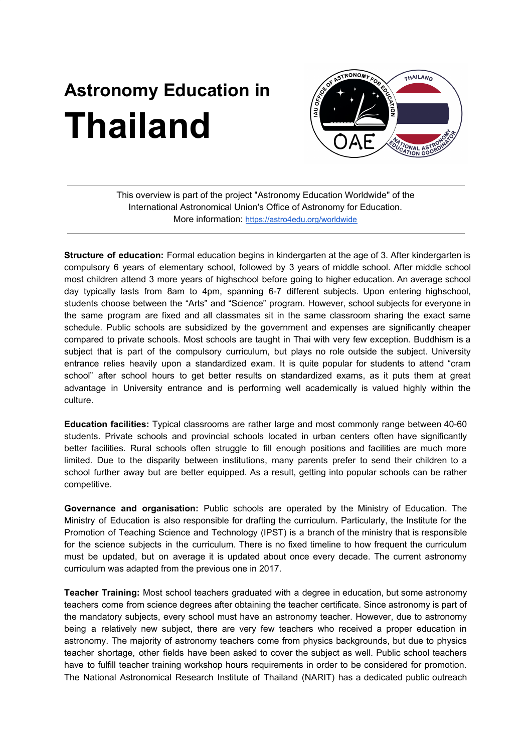## **Astronomy Education in Thailand**



This overview is part of the project "Astronomy Education Worldwide" of the International Astronomical Union's Office of Astronomy for Education. More information: <https://astro4edu.org/worldwide>

**Structure of education:** Formal education begins in kindergarten at the age of 3. After kindergarten is compulsory 6 years of elementary school, followed by 3 years of middle school. After middle school most children attend 3 more years of highschool before going to higher education. An average school day typically lasts from 8am to 4pm, spanning 6-7 different subjects. Upon entering highschool, students choose between the "Arts" and "Science" program. However, school subjects for everyone in the same program are fixed and all classmates sit in the same classroom sharing the exact same schedule. Public schools are subsidized by the government and expenses are significantly cheaper compared to private schools. Most schools are taught in Thai with very few exception. Buddhism is a subject that is part of the compulsory curriculum, but plays no role outside the subject. University entrance relies heavily upon a standardized exam. It is quite popular for students to attend "cram school" after school hours to get better results on standardized exams, as it puts them at great advantage in University entrance and is performing well academically is valued highly within the culture.

**Education facilities:** Typical classrooms are rather large and most commonly range between 40-60 students. Private schools and provincial schools located in urban centers often have significantly better facilities. Rural schools often struggle to fill enough positions and facilities are much more limited. Due to the disparity between institutions, many parents prefer to send their children to a school further away but are better equipped. As a result, getting into popular schools can be rather competitive.

**Governance and organisation:** Public schools are operated by the Ministry of Education. The Ministry of Education is also responsible for drafting the curriculum. Particularly, the Institute for the Promotion of Teaching Science and Technology (IPST) is a branch of the ministry that is responsible for the science subjects in the curriculum. There is no fixed timeline to how frequent the curriculum must be updated, but on average it is updated about once every decade. The current astronomy curriculum was adapted from the previous one in 2017.

**Teacher Training:** Most school teachers graduated with a degree in education, but some astronomy teachers come from science degrees after obtaining the teacher certificate. Since astronomy is part of the mandatory subjects, every school must have an astronomy teacher. However, due to astronomy being a relatively new subject, there are very few teachers who received a proper education in astronomy. The majority of astronomy teachers come from physics backgrounds, but due to physics teacher shortage, other fields have been asked to cover the subject as well. Public school teachers have to fulfill teacher training workshop hours requirements in order to be considered for promotion. The National Astronomical Research Institute of Thailand (NARIT) has a dedicated public outreach